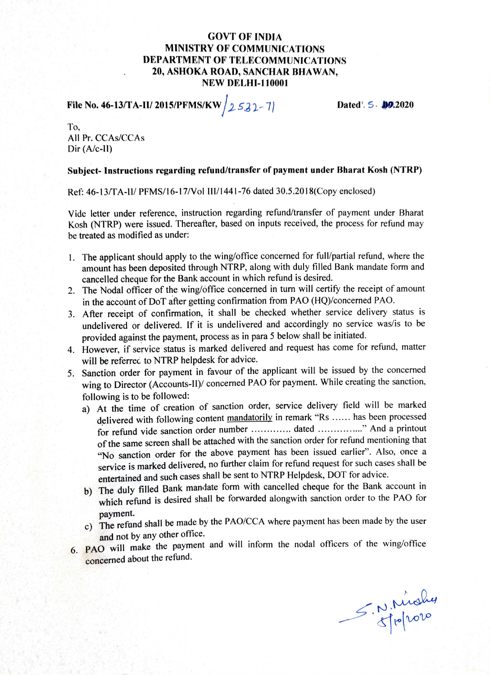## GOVT OF INDIA MINISTRY OF COMMUNICATIONS DEPARTMENT OF TELECOMMUNICATIONS 20, ASHOKA ROAD, SANCHAR BHAWAN, NEW DELHI-110001

File No. 46-13/TA-II/ 2015/PFMS/KW  $/2$  532-7 Dated'. 5. 10.2020

To, All Pr. CCAs/CCAs Dir (A/c-ll)

## Subject- Instruetions regarding refund/transfer of payment under Bharat Kosh (NTRP)

Ref: 46-13/TA-I/ PFMS/16-17/Vol I/1441-76 dated 30.5.2018(Copy enclosed)

Vide letter under reference, instruction regarding refund/transfer of payment under Bharat Kosh (NTRP) were issued. Thereafter, based on inputs received, the process for refund may be treated as modified as under:

- . The applicant should apply to the wing/office concerned for ful/partial refund, where the amount has been deposited through NTRP, along with duly filled Bank mandate form and cancelled cheque for the Bank account in which refund is desired.
- 2. The Nodal officer of the wing/office concerned in turn will certify the receipt of amount in the account of DoT after getting confirmation from PAO (HQ)/concerned PAO.
- 3. After receipt of confirmation, it shall be checked whether service delivery status is undelivered or delivered. If it is undelivered and accordingly no service was/is to be provided against the payment, process as in para 5 below shall be initiated.
- 4. However, if service status is marked delivered and request has come for refund, matter will be referrec to NTRP helpdesk for advice.
- 5. Sanction order for payment in favour of the applicant will be issued by the concerned wing to Director (Accounts-II)/ concerned PAO for payment. While creating the sanction, following is to be followed:
	- a) At the time of creation of sanction order, service delivery field will be marked delivered with following content mandatorily in remark "Rs ...... has been processed for refund vide sanction order number ............. dated ..............." And a printout of the same screen shall be attached with the sanction order for refund mentioning that "No sanction order for the above payment has been issued earlier". Also, once a service is marked delivered, no further claim for refund request for such cases shall be entertained and such cases shall be sent to NTRP Helpdesk, DOT for advice.
	- b) The duly filled Bank mandate form with cancelled cheque for the Bank account in which refund is desired shall be forwarded alongwith sanction order to the PAO for
	- payment.<br>c) The refund shall be made by the PAO/CCA where payment has been made by the user and not by any other office.
- 6. PAO will make the payment and will inform the nodal officers of the wing/office concerned about the refund.

S,N.Mahy M. Midney